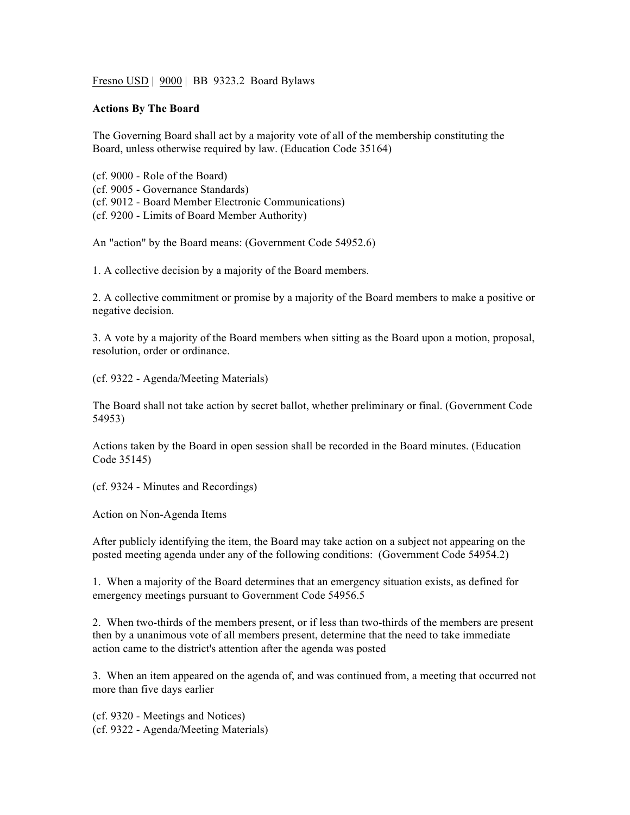Fresno USD |  $9000$  | BB 9323.2 Board Bylaws

## **Actions By The Board**

The Governing Board shall act by a majority vote of all of the membership constituting the Board, unless otherwise required by law. (Education Code 35164)

(cf. 9000 - Role of the Board) (cf. 9005 - Governance Standards) (cf. 9012 - Board Member Electronic Communications)

(cf. 9200 - Limits of Board Member Authority)

An "action" by the Board means: (Government Code 54952.6)

1. A collective decision by a majority of the Board members.

2. A collective commitment or promise by a majority of the Board members to make a positive or negative decision.

3. A vote by a majority of the Board members when sitting as the Board upon a motion, proposal, resolution, order or ordinance.

(cf. 9322 - Agenda/Meeting Materials)

The Board shall not take action by secret ballot, whether preliminary or final. (Government Code 54953)

Actions taken by the Board in open session shall be recorded in the Board minutes. (Education Code 35145)

(cf. 9324 - Minutes and Recordings)

Action on Non-Agenda Items

After publicly identifying the item, the Board may take action on a subject not appearing on the posted meeting agenda under any of the following conditions: (Government Code 54954.2)

1. When a majority of the Board determines that an emergency situation exists, as defined for emergency meetings pursuant to Government Code 54956.5

2. When two-thirds of the members present, or if less than two-thirds of the members are present then by a unanimous vote of all members present, determine that the need to take immediate action came to the district's attention after the agenda was posted

3. When an item appeared on the agenda of, and was continued from, a meeting that occurred not more than five days earlier

(cf. 9320 - Meetings and Notices)

(cf. 9322 - Agenda/Meeting Materials)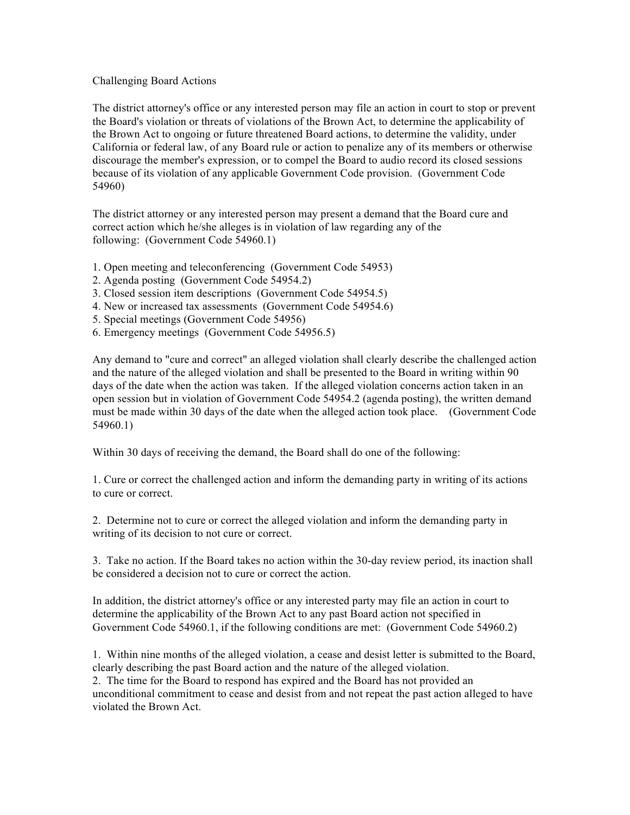## Challenging Board Actions

The district attorney's office or any interested person may file an action in court to stop or prevent the Board's violation or threats of violations of the Brown Act, to determine the applicability of the Brown Act to ongoing or future threatened Board actions, to determine the validity, under California or federal law, of any Board rule or action to penalize any of its members or otherwise discourage the member's expression, or to compel the Board to audio record its closed sessions because of its violation of any applicable Government Code provision. (Government Code 54960)

The district attorney or any interested person may present a demand that the Board cure and correct action which he/she alleges is in violation of law regarding any of the following: (Government Code 54960.1)

- 1. Open meeting and teleconferencing (Government Code 54953)
- 2. Agenda posting (Government Code 54954.2)
- 3. Closed session item descriptions (Government Code 54954.5)
- 4. New or increased tax assessments (Government Code 54954.6)
- 5. Special meetings (Government Code 54956)
- 6. Emergency meetings (Government Code 54956.5)

Any demand to "cure and correct" an alleged violation shall clearly describe the challenged action and the nature of the alleged violation and shall be presented to the Board in writing within 90 days of the date when the action was taken. If the alleged violation concerns action taken in an open session but in violation of Government Code 54954.2 (agenda posting), the written demand must be made within 30 days of the date when the alleged action took place. (Government Code 54960.1)

Within 30 days of receiving the demand, the Board shall do one of the following:

1. Cure or correct the challenged action and inform the demanding party in writing of its actions to cure or correct.

2. Determine not to cure or correct the alleged violation and inform the demanding party in writing of its decision to not cure or correct.

3. Take no action. If the Board takes no action within the 30-day review period, its inaction shall be considered a decision not to cure or correct the action.

In addition, the district attorney's office or any interested party may file an action in court to determine the applicability of the Brown Act to any past Board action not specified in Government Code 54960.1, if the following conditions are met: (Government Code 54960.2)

1. Within nine months of the alleged violation, a cease and desist letter is submitted to the Board, clearly describing the past Board action and the nature of the alleged violation. 2. The time for the Board to respond has expired and the Board has not provided an unconditional commitment to cease and desist from and not repeat the past action alleged to have violated the Brown Act.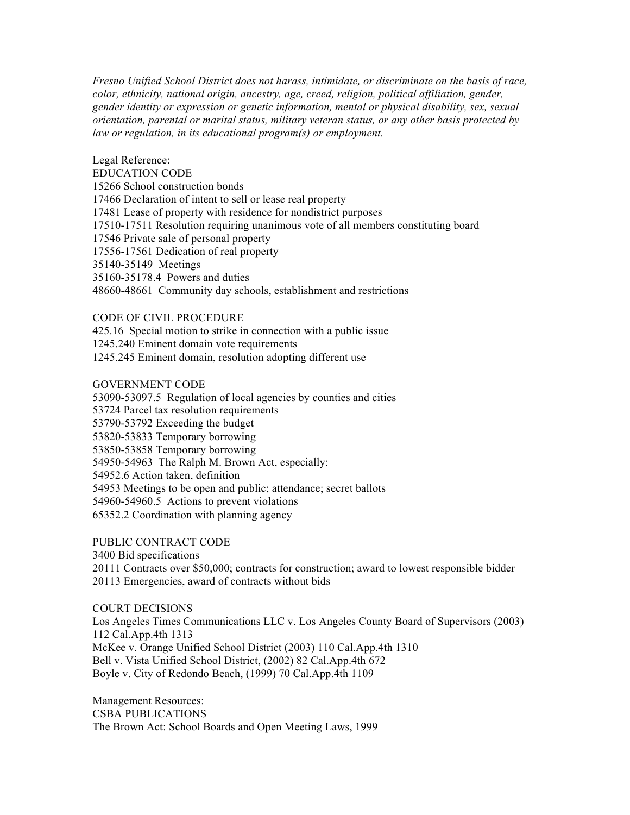*Fresno Unified School District does not harass, intimidate, or discriminate on the basis of race, color, ethnicity, national origin, ancestry, age, creed, religion, political affiliation, gender, gender identity or expression or genetic information, mental or physical disability, sex, sexual orientation, parental or marital status, military veteran status, or any other basis protected by law or regulation, in its educational program(s) or employment.*

Legal Reference: EDUCATION CODE 15266 School construction bonds 17466 Declaration of intent to sell or lease real property 17481 Lease of property with residence for nondistrict purposes 17510-17511 Resolution requiring unanimous vote of all members constituting board 17546 Private sale of personal property 17556-17561 Dedication of real property 35140-35149 Meetings 35160-35178.4 Powers and duties 48660-48661 Community day schools, establishment and restrictions

## CODE OF CIVIL PROCEDURE

425.16 Special motion to strike in connection with a public issue 1245.240 Eminent domain vote requirements 1245.245 Eminent domain, resolution adopting different use

## GOVERNMENT CODE

53090-53097.5 Regulation of local agencies by counties and cities 53724 Parcel tax resolution requirements 53790-53792 Exceeding the budget 53820-53833 Temporary borrowing 53850-53858 Temporary borrowing 54950-54963 The Ralph M. Brown Act, especially: 54952.6 Action taken, definition 54953 Meetings to be open and public; attendance; secret ballots 54960-54960.5 Actions to prevent violations 65352.2 Coordination with planning agency

PUBLIC CONTRACT CODE 3400 Bid specifications 20111 Contracts over \$50,000; contracts for construction; award to lowest responsible bidder 20113 Emergencies, award of contracts without bids

COURT DECISIONS Los Angeles Times Communications LLC v. Los Angeles County Board of Supervisors (2003) 112 Cal.App.4th 1313 McKee v. Orange Unified School District (2003) 110 Cal.App.4th 1310 Bell v. Vista Unified School District, (2002) 82 Cal.App.4th 672 Boyle v. City of Redondo Beach, (1999) 70 Cal.App.4th 1109

Management Resources: CSBA PUBLICATIONS The Brown Act: School Boards and Open Meeting Laws, 1999